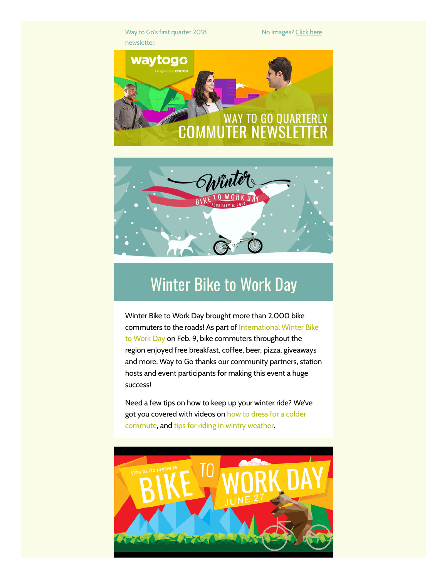Way to Go's first quarter 2018 newsletter.

No Images? [Click](http://drcog.createsend1.com/t/d-e-otydydd-l-g/) here





# Winter Bike to Work Day

Winter Bike to Work Day brought more than 2,000 bike commuters to the roads! As part of [International](http://drcog.createsend1.com/t/d-l-otydydd-l-y/) Winter Bike to Work Day on Feb. 9, bike commuters throughout the region enjoyed free breakfast, coffee, beer, pizza, giveaways and more. Way to Go thanks our community partners, station hosts and event participants for making this event a huge success!

Need a few tips on how to keep up your winter ride? We've got you covered with videos on how to dress for a colder [commute,](http://drcog.createsend1.com/t/d-l-otydydd-l-j/) and tips for riding in wintry [weather](http://drcog.createsend1.com/t/d-l-otydydd-l-t/).

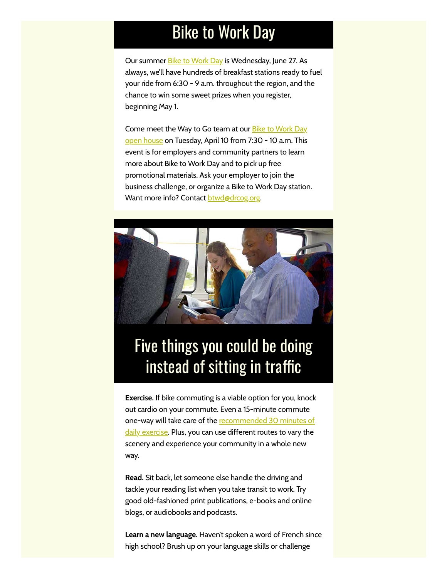## Bike to Work Day

Our summer Bike to [Work](http://drcog.createsend1.com/t/d-l-otydydd-l-i/) Day is Wednesday, June 27. As always, we'll have hundreds of breakfast stations ready to fuel your ride from 6:30 - 9 a.m. throughout the region, and the chance to win some sweet prizes when you register, beginning May 1.

Come meet the Way to Go team at our **Bike to Work Day** open house on [Tuesday,](http://drcog.createsend1.com/t/d-l-otydydd-l-h/) April 10 from 7:30 - 10 a.m. This event is for employers and community partners to learn more about Bike to Work Day and to pick up free promotional materials. Ask your employer to join the business challenge, or organize a Bike to Work Day station. Want more info? Contact **[btwd@drcog.org](mailto:btwd@drcog.org)** 



## Five things you could be doing instead of sitting in traffic

Exercise. If bike commuting is a viable option for you, knock out cardio on your commute. Even a 15-minute commute one-way will take care of the **[recommended](http://drcog.createsend1.com/t/d-l-otydydd-l-k/) 30 minutes of** daily exercise. Plus, you can use different routes to vary the scenery and experience your community in a whole new way.

Read. Sit back, let someone else handle the driving and tackle your reading list when you take transit to work. Try good old-fashioned print publications, e-books and online blogs, or audiobooks and podcasts.

Learn a new language. Haven't spoken a word of French since high school? Brush up on your language skills or challenge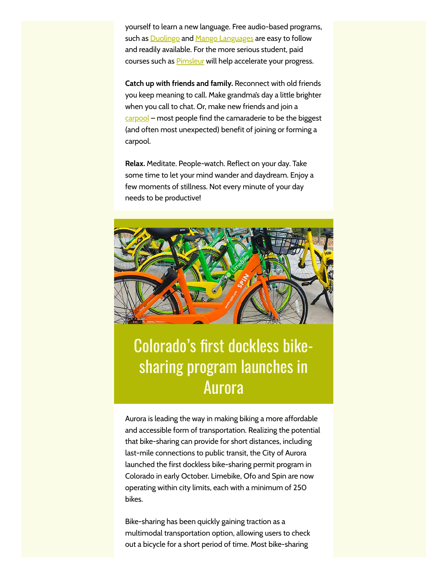yourself to learn a new language. Free audio-based programs, such as **[Duolingo](http://drcog.createsend1.com/t/d-l-otydydd-l-u/)** and **Mango [Languages](http://drcog.createsend1.com/t/d-l-otydydd-l-o/)** are easy to follow and readily available. For the more serious student, paid courses such as **[Pimsleur](http://drcog.createsend1.com/t/d-l-otydydd-l-m/)** will help accelerate your progress.

Catch up with friends and family. Reconnect with old friends you keep meaning to call. Make grandma's day a little brighter when you call to chat. Or, make new friends and join a [carpool](http://drcog.createsend1.com/t/d-l-otydydd-l-c/) – most people find the camaraderie to be the biggest (and often most unexpected) benefit of joining or forming a carpool.

Relax. Meditate. People-watch. Reflect on your day. Take some time to let your mind wander and daydream. Enjoy a few moments of stillness. Not every minute of your day needs to be productive!



# Colorado's first dockless bikesharing program launches in Aurora

Aurora is leading the way in making biking a more affordable and accessible form of transportation. Realizing the potential that bike-sharing can provide for short distances, including last-mile connections to public transit, the City of Aurora launched the first dockless bike-sharing permit program in Colorado in early October. Limebike, Ofo and Spin are now operating within city limits, each with a minimum of 250 bikes.

Bike-sharing has been quickly gaining traction as a multimodal transportation option, allowing users to check out a bicycle for a short period of time. Most bike-sharing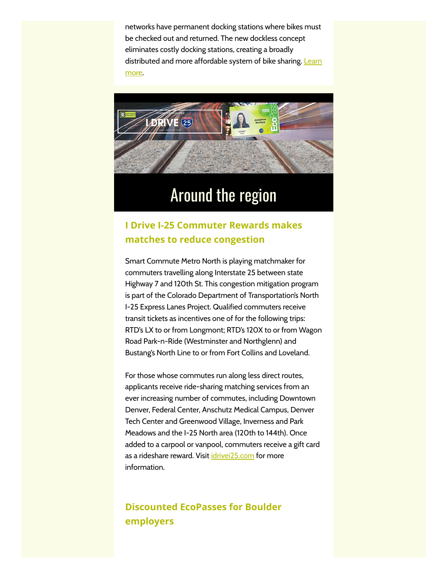networks have permanent docking stations where bikes must be checked out and returned. The new dockless concept eliminates costly docking stations, creating a broadly [distributed](http://drcog.createsend1.com/t/d-l-otydydd-l-q/) and more affordable system of bike sharing. Learn more.



### Around the region

### I Drive I-25 Commuter Rewards makes matches to reduce congestion

Smart Commute Metro North is playing matchmaker for commuters travelling along Interstate 25 between state Highway 7 and 120th St. This congestion mitigation program is part of the Colorado Department of Transportation's North I-25 Express Lanes Project. Qualified commuters receive transit tickets as incentives one of for the following trips: RTD's LX to or from Longmont; RTD's 120X to or from Wagon Road Park-n-Ride (Westminster and Northglenn) and Bustang's North Line to or from Fort Collins and Loveland.

For those whose commutes run along less direct routes, applicants receive ride-sharing matching services from an ever increasing number of commutes, including Downtown Denver, Federal Center, Anschutz Medical Campus, Denver Tech Center and Greenwood Village, Inverness and Park Meadows and the I-25 North area (120th to 144th). Once added to a carpool or vanpool, commuters receive a gift card as a rideshare reward. Visit [idrivei25.com](http://drcog.createsend1.com/t/d-l-otydydd-l-a/) for more information.

### Discounted EcoPasses for Boulder employers